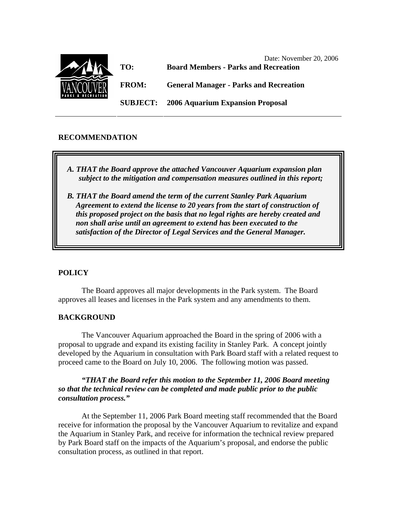

# **RECOMMENDATION**

- *A. THAT the Board approve the attached Vancouver Aquarium expansion plan subject to the mitigation and compensation measures outlined in this report;*
- *B. THAT the Board amend the term of the current Stanley Park Aquarium Agreement to extend the license to 20 years from the start of construction of this proposed project on the basis that no legal rights are hereby created and non shall arise until an agreement to extend has been executed to the satisfaction of the Director of Legal Services and the General Manager.*

## **POLICY**

The Board approves all major developments in the Park system. The Board approves all leases and licenses in the Park system and any amendments to them.

### **BACKGROUND**

The Vancouver Aquarium approached the Board in the spring of 2006 with a proposal to upgrade and expand its existing facility in Stanley Park. A concept jointly developed by the Aquarium in consultation with Park Board staff with a related request to proceed came to the Board on July 10, 2006. The following motion was passed.

## *"THAT the Board refer this motion to the September 11, 2006 Board meeting so that the technical review can be completed and made public prior to the public consultation process."*

 At the September 11, 2006 Park Board meeting staff recommended that the Board receive for information the proposal by the Vancouver Aquarium to revitalize and expand the Aquarium in Stanley Park, and receive for information the technical review prepared by Park Board staff on the impacts of the Aquarium's proposal, and endorse the public consultation process, as outlined in that report.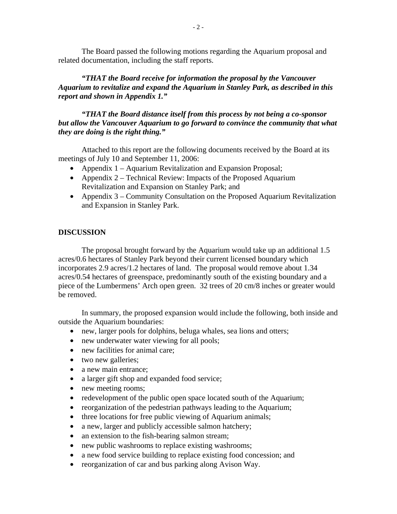The Board passed the following motions regarding the Aquarium proposal and related documentation, including the staff reports.

*"THAT the Board receive for information the proposal by the Vancouver Aquarium to revitalize and expand the Aquarium in Stanley Park, as described in this report and shown in Appendix 1."* 

*"THAT the Board distance itself from this process by not being a co-sponsor*  but allow the Vancouver Aquarium to go forward to convince the community that what *they are doing is the right thing."* 

Attached to this report are the following documents received by the Board at its meetings of July 10 and September 11, 2006:

- Appendix 1 Aquarium Revitalization and Expansion Proposal;
- Appendix 2 Technical Review: Impacts of the Proposed Aquarium Revitalization and Expansion on Stanley Park; and
- Appendix 3 Community Consultation on the Proposed Aquarium Revitalization and Expansion in Stanley Park.

# **DISCUSSION**

The proposal brought forward by the Aquarium would take up an additional 1.5 acres/0.6 hectares of Stanley Park beyond their current licensed boundary which incorporates 2.9 acres/1.2 hectares of land. The proposal would remove about 1.34 acres/0.54 hectares of greenspace, predominantly south of the existing boundary and a piece of the Lumbermens' Arch open green. 32 trees of 20 cm/8 inches or greater would be removed.

 In summary, the proposed expansion would include the following, both inside and outside the Aquarium boundaries:

- new, larger pools for dolphins, beluga whales, sea lions and otters;
- new underwater water viewing for all pools;
- new facilities for animal care;
- two new galleries;
- a new main entrance:
- a larger gift shop and expanded food service;
- new meeting rooms;
- redevelopment of the public open space located south of the Aquarium;
- reorganization of the pedestrian pathways leading to the Aquarium;
- three locations for free public viewing of Aquarium animals;
- a new, larger and publicly accessible salmon hatchery;
- an extension to the fish-bearing salmon stream;
- new public washrooms to replace existing washrooms;
- a new food service building to replace existing food concession; and
- reorganization of car and bus parking along Avison Way.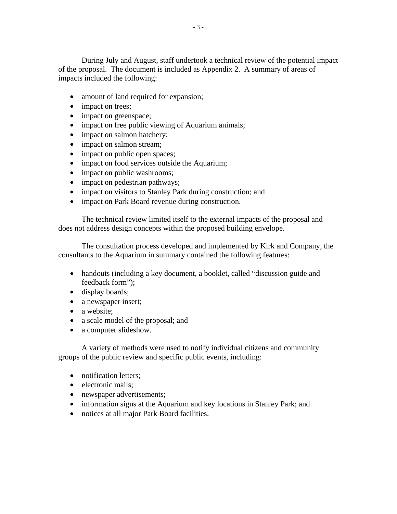During July and August, staff undertook a technical review of the potential impact of the proposal. The document is included as Appendix 2. A summary of areas of impacts included the following:

- amount of land required for expansion;
- impact on trees;
- impact on greenspace;
- impact on free public viewing of Aquarium animals;
- impact on salmon hatchery;
- impact on salmon stream;
- impact on public open spaces;
- impact on food services outside the Aquarium;
- impact on public washrooms;
- impact on pedestrian pathways;
- impact on visitors to Stanley Park during construction; and
- impact on Park Board revenue during construction.

The technical review limited itself to the external impacts of the proposal and does not address design concepts within the proposed building envelope.

The consultation process developed and implemented by Kirk and Company, the consultants to the Aquarium in summary contained the following features:

- handouts (including a key document, a booklet, called "discussion guide and feedback form");
- display boards;
- a newspaper insert;
- a website;
- a scale model of the proposal; and
- a computer slideshow.

A variety of methods were used to notify individual citizens and community groups of the public review and specific public events, including:

- notification letters;
- electronic mails:
- newspaper advertisements;
- information signs at the Aquarium and key locations in Stanley Park; and
- notices at all major Park Board facilities.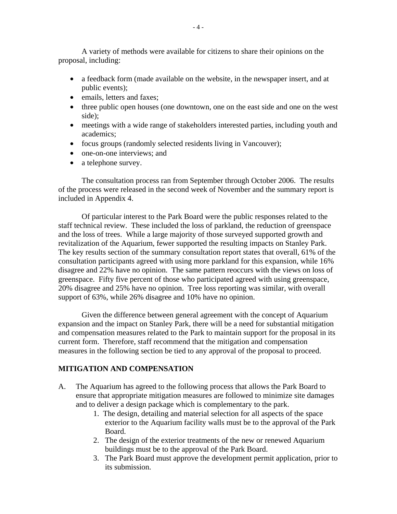A variety of methods were available for citizens to share their opinions on the proposal, including:

- a feedback form (made available on the website, in the newspaper insert, and at public events);
- emails, letters and faxes:
- three public open houses (one downtown, one on the east side and one on the west side);
- meetings with a wide range of stakeholders interested parties, including youth and academics;
- focus groups (randomly selected residents living in Vancouver);
- one-on-one interviews; and
- a telephone survey.

The consultation process ran from September through October 2006. The results of the process were released in the second week of November and the summary report is included in Appendix 4.

Of particular interest to the Park Board were the public responses related to the staff technical review. These included the loss of parkland, the reduction of greenspace and the loss of trees. While a large majority of those surveyed supported growth and revitalization of the Aquarium, fewer supported the resulting impacts on Stanley Park. The key results section of the summary consultation report states that overall, 61% of the consultation participants agreed with using more parkland for this expansion, while 16% disagree and 22% have no opinion. The same pattern reoccurs with the views on loss of greenspace. Fifty five percent of those who participated agreed with using greenspace, 20% disagree and 25% have no opinion. Tree loss reporting was similar, with overall support of 63%, while 26% disagree and 10% have no opinion.

Given the difference between general agreement with the concept of Aquarium expansion and the impact on Stanley Park, there will be a need for substantial mitigation and compensation measures related to the Park to maintain support for the proposal in its current form. Therefore, staff recommend that the mitigation and compensation measures in the following section be tied to any approval of the proposal to proceed.

### **MITIGATION AND COMPENSATION**

- A. The Aquarium has agreed to the following process that allows the Park Board to ensure that appropriate mitigation measures are followed to minimize site damages and to deliver a design package which is complementary to the park.
	- 1. The design, detailing and material selection for all aspects of the space exterior to the Aquarium facility walls must be to the approval of the Park Board.
	- 2. The design of the exterior treatments of the new or renewed Aquarium buildings must be to the approval of the Park Board.
	- 3. The Park Board must approve the development permit application, prior to its submission.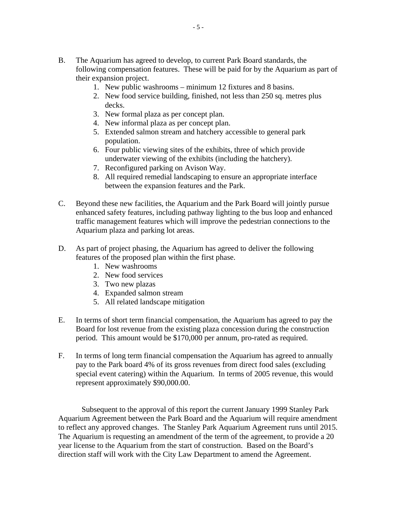- B. The Aquarium has agreed to develop, to current Park Board standards, the following compensation features. These will be paid for by the Aquarium as part of their expansion project.
	- 1. New public washrooms minimum 12 fixtures and 8 basins.
	- 2. New food service building, finished, not less than 250 sq. metres plus decks.
	- 3. New formal plaza as per concept plan.
	- 4. New informal plaza as per concept plan.
	- 5. Extended salmon stream and hatchery accessible to general park population.
	- 6. Four public viewing sites of the exhibits, three of which provide underwater viewing of the exhibits (including the hatchery).
	- 7. Reconfigured parking on Avison Way.
	- 8. All required remedial landscaping to ensure an appropriate interface between the expansion features and the Park.
- C. Beyond these new facilities, the Aquarium and the Park Board will jointly pursue enhanced safety features, including pathway lighting to the bus loop and enhanced traffic management features which will improve the pedestrian connections to the Aquarium plaza and parking lot areas.
- D. As part of project phasing, the Aquarium has agreed to deliver the following features of the proposed plan within the first phase.
	- 1. New washrooms
	- 2. New food services
	- 3. Two new plazas
	- 4. Expanded salmon stream
	- 5. All related landscape mitigation
- E. In terms of short term financial compensation, the Aquarium has agreed to pay the Board for lost revenue from the existing plaza concession during the construction period. This amount would be \$170,000 per annum, pro-rated as required.
- F. In terms of long term financial compensation the Aquarium has agreed to annually pay to the Park board 4% of its gross revenues from direct food sales (excluding special event catering) within the Aquarium. In terms of 2005 revenue, this would represent approximately \$90,000.00.

Subsequent to the approval of this report the current January 1999 Stanley Park Aquarium Agreement between the Park Board and the Aquarium will require amendment to reflect any approved changes. The Stanley Park Aquarium Agreement runs until 2015. The Aquarium is requesting an amendment of the term of the agreement, to provide a 20 year license to the Aquarium from the start of construction. Based on the Board's direction staff will work with the City Law Department to amend the Agreement.